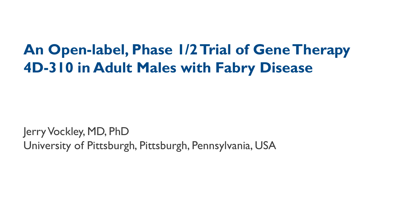# **An Open-label, Phase 1/2 Trial of Gene Therapy 4D-310 in Adult Males with Fabry Disease**

Jerry Vockley, MD, PhD University of Pittsburgh, Pittsburgh, Pennsylvania, USA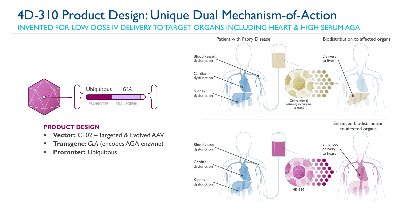# 4D-310 Product Design: Unique Dual Mechanism-of-Action

INVENTED FOR LOW DOSE IV DELIVERY TO TARGET ORGANS INCLUDING HEART & HIGH SERUM AGA



### Patient with Fabry Disease Biodistribution to affected organs Blood vessel dysfunction **Cardiac** dysfunction Kidney dysfunction **Delivery** to liver Conventional naturally occurring vectors **4D-310** Enhanced delivery to heart Enhanced biodistribution to affected organs Blood vessel dysfunction **Cardiac** dysfunction Kidney dysfunction

### **PRODUCT DESIGN**

- **Vector:** C102 Targeted & Evolved AAV
- **Transgene: GLA (encodes AGA enzyme)**
- **Promoter:** Ubiquitous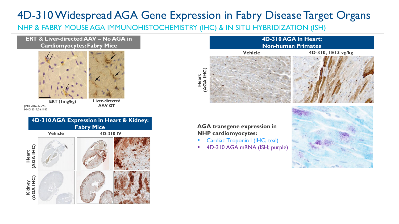### 4D-310 Widespread AGA Gene Expression in Fabry Disease Target Organs

**Heart** 

NHP & FABRY MOUSE AGA IMMUNOHISTOCHEMISTRY (IHC) & IN SITU HYBRIDIZATION (ISH)

**ERT & Liver-directed AAV – No AGA in Cardiomyocytes: Fabry Mice**



 $IMD 2016;39:293;$ HMG 2017;26:1182

**ERT (1mg/kg) Liver-directed** 



### **Vehicle 4D-310, 1E13 vg/kg 4D-310 AGA in Heart: Non-human Primates**

# **(AGA IHC)**

**AGA transgene expression in NHP cardiomyocytes:**

- Cardiac Troponin I (IHC; teal)
- 4D-310 AGA mRNA (ISH; purple)

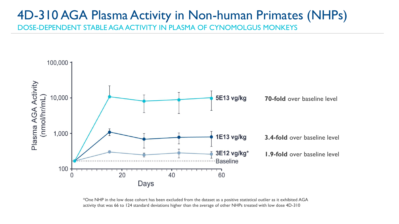### 4D-310 AGA Plasma Activity in Non-human Primates (NHPs) DOSE-DEPENDENT STABLE AGA ACTIVITY IN PLASMA OF CYNOMOLGUS MONKEYS



\*One NHP in the low dose cohort has been excluded from the dataset as a positive statistical outlier as it exhibited AGA activity that was 66 to 124 standard deviations higher than the average of other NHPs treated with low dose 4D-310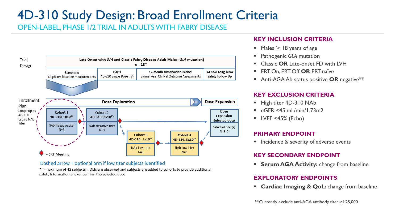# 4D-310 Study Design: Broad Enrollment Criteria

OPEN-LABEL, PHASE 1/2 TRIAL IN ADULTS WITH FABRY DISEASE



Dashed arrow = optional arm if low titer subjects identified

\*n=maximum of 42 subjects if DLTs are observed and subjects are added to cohorts to provide additional safety information and/or confirm the selected dose

### **KEY INCLUSION CRITERIA**

- Males  $\geq 18$  years of age
- **Pathogenic GLA mutation**
- **Classic OR Late-onset FD with LVH**
- **ERT-On, ERT-Off OR ERT-naïve**
- Anti-AGA Ab status positive OR negative<sup>\*\*</sup>

### **KEY EXCLUSION CRITERIA**

- High titer 4D-310 NAb
- $\blacksquare$  eGFR <45 mL/min/1.73m2
- $\blacksquare$  LVEF <45% (Echo)

### **PRIMARY ENDPOINT**

■ Incidence & severity of adverse events

### **KEY SECONDARY ENDPOINT**

**Example 26 Activity:** change from baseline

### **EXPLORATORY ENDPOINTS**

**Example 2 Cardiac Imaging & QoL:** change from baseline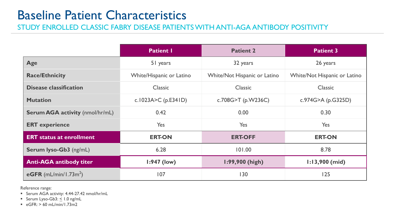### Baseline Patient Characteristics

STUDY ENROLLED CLASSIC FABRY DISEASE PATIENTS WITH ANTI-AGA ANTIBODY POSITIVITY

|                                        | <b>Patient I</b>         | <b>Patient 2</b>             | <b>Patient 3</b>             |  |
|----------------------------------------|--------------------------|------------------------------|------------------------------|--|
| Age                                    | 51 years                 | 32 years                     | 26 years                     |  |
| <b>Race/Ethnicity</b>                  | White/Hispanic or Latino | White/Not Hispanic or Latino | White/Not Hispanic or Latino |  |
| <b>Disease classification</b>          | <b>Classic</b>           | <b>Classic</b>               | <b>Classic</b>               |  |
| <b>Mutation</b>                        | c.1023A>C (p.E341D)      | c.708G>T (p.W236C)           | c.974G>A (p.G325D)           |  |
| <b>Serum AGA activity (nmol/hr/mL)</b> | 0.42                     | 0.00                         | 0.30                         |  |
| <b>ERT</b> experience                  | Yes                      | Yes                          | Yes                          |  |
| <b>ERT</b> status at enrollment        | <b>ERT-ON</b>            | <b>ERT-OFF</b>               | <b>ERT-ON</b>                |  |
| <b>Serum lyso-Gb3</b> (ng/mL)          | 6.28                     | 101.00                       | 8.78                         |  |
| <b>Anti-AGA antibody titer</b>         | $1:947$ (low)            | <b>1:99,900 (high)</b>       | $1:13,900$ (mid)             |  |
| eGFR (mL/min/1.73 $m2$ )               | 107                      | 130                          | 125                          |  |

Reference range:

■ Serum AGA activity: 4.44-27.42 nmol/hr/mL

**E** Serum Lyso-Gb3:  $\leq$  1.0 ng/mL

 $\blacksquare$  eGFR:  $> 60$  mL/min/1.73m2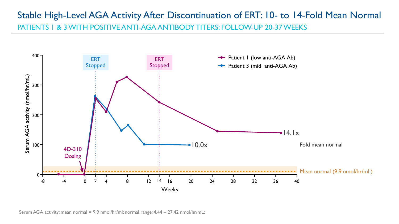### Stable High-Level AGA Activity After Discontinuation of ERT: 10- to 14-Fold Mean Normal PATIENTS 1 & 3 WITH POSITIVE ANTI-AGA ANTIBODY TITERS: FOLLOW-UP 20-37 WEEKS



Serum AGA activity: mean normal = 9.9 nmol/hr/ml; normal range: 4.44 – 27.42 nmol/hr/mL;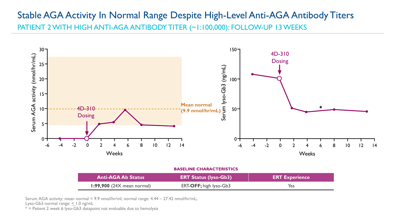### Stable AGA Activity In Normal Range Despite High-Level Anti-AGA Antibody Titers PATIENT 2 WITH HIGH ANTI-AGA ANTIBODY TITER (~1:100,000): FOLLOW-UP 13 WEEKS



#### **BASELINE CHARACTERISTICS**

| <b>Anti-AGA Ab Status</b>    | <b>ERT Status (lyso-Gb3)</b> | <b>ERT Experience</b> |  |  |
|------------------------------|------------------------------|-----------------------|--|--|
| $1:99,900$ (24X mean normal) | ERT-OFF; high lyso-Gb3       | Yes                   |  |  |

Serum AGA activity: mean normal = 9.9 nmol/hr/ml; normal range: 4.44 – 27.42 nmol/hr/mL;

Lyso-Gb3 normal range:  $\leq$  1.0 ng/mL

 $*$  = Patient 2 week 6 lyso-Gb3 datapoint not evaluable due to hemolysis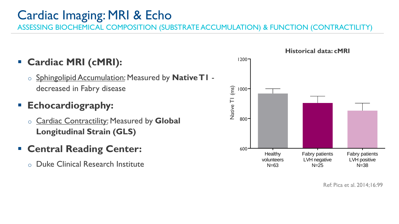# Cardiac Imaging: MRI & Echo

ASSESSING BIOCHEMICAL COMPOSITION (SUBSTRATE ACCUMULATION) & FUNCTION (CONTRACTILITY)

### ▪ **Cardiac MRI (cMRI):**

o Sphingolipid Accumulation: Measured by **Native T1**  decreased in Fabry disease

### ▪ **Echocardiography:**

o Cardiac Contractility: Measured by **Global Longitudinal Strain (GLS)** 

### ▪ **Central Reading Center:**

o Duke Clinical Research Institute



Ref: Pica et al. 2014;16:99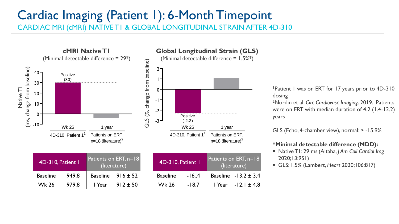### Cardiac Imaging (Patient 1): 6-Month Timepoint CARDIAC MRI (cMRI) NATIVE T1 & GLOBAL LONGITUDINAL STRAIN AFTER 4D-310



| 4D-310, Patient 1 |       | Patients on ERT, n=18<br>(literature) |                       |  |
|-------------------|-------|---------------------------------------|-----------------------|--|
| <b>Baseline</b>   | 949.8 |                                       | Baseline $916 \pm 52$ |  |
| <b>Wk 26</b>      | 979.8 | I Year                                | $912 \pm 50$          |  |

| 4D-310, Patient 1 |         | Patients on ERT, n=18<br>(literature) |                           |  |  |
|-------------------|---------|---------------------------------------|---------------------------|--|--|
| <b>Baseline</b>   | $-16.4$ |                                       | Baseline $-13.2 \pm 3.4$  |  |  |
| <b>Wk 26</b>      | $-18.7$ |                                       | $1$ Year - 12.1 $\pm$ 4.8 |  |  |

<sup>1</sup>Patient 1 was on ERT for 17 years prior to 4D-310 dosing

<sup>2</sup>Nordin et al. *Circ Cardiovasc Imaging*. 2019. Patients were on ERT with median duration of 4.2 (1.4-12.2) years

GLS (Echo, 4-chamber view), normal: > -15.9%

### **\*Minimal detectable difference (MDD):**

- Native T1: 29 ms(Altaha, *J Am Coll Cardiol Img* 2020;13:951)
- GLS: 1.5% (Lambert, *Heart* 2020;106:817)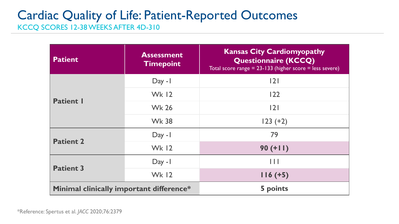# Cardiac Quality of Life: Patient-Reported Outcomes

KCCQ SCORES 12-38 WEEKS AFTER 4D-310

| <b>Patient</b>                                  | <b>Assessment</b><br><b>Timepoint</b> | <b>Kansas City Cardiomyopathy</b><br><b>Questionnaire (KCCQ)</b><br>Total score range = $23 - 133$ (higher score = less severe) |
|-------------------------------------------------|---------------------------------------|---------------------------------------------------------------------------------------------------------------------------------|
|                                                 | $Day - I$                             | 2                                                                                                                               |
| <b>Patient I</b>                                | <b>Wk 12</b>                          | 122                                                                                                                             |
|                                                 | <b>Wk 26</b>                          | 2                                                                                                                               |
|                                                 | <b>Wk 38</b>                          | $123 (+2)$                                                                                                                      |
| <b>Patient 2</b>                                | $Day - I$                             | 79                                                                                                                              |
|                                                 | <b>Wk 12</b>                          | $90 (+11)$                                                                                                                      |
| <b>Patient 3</b>                                | $Day - I$                             | $\Box$                                                                                                                          |
|                                                 | <b>Wk 12</b>                          | $116 (+5)$                                                                                                                      |
| <b>Minimal clinically important difference*</b> |                                       | 5 points                                                                                                                        |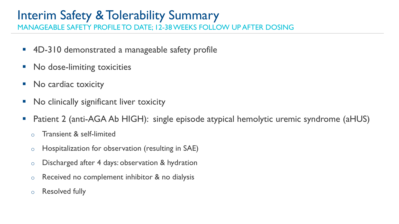# Interim Safety & Tolerability Summary

MANAGEABLE SAFETY PROFILE TO DATE; 12-38 WEEKS FOLLOW UP AFTER DOSING

- 4D-310 demonstrated a manageable safety profile
- No dose-limiting toxicities
- No cardiac toxicity
- No clinically significant liver toxicity
- Patient 2 (anti-AGA Ab HIGH): single episode atypical hemolytic uremic syndrome (aHUS)
	- o Transient & self-limited
	- o Hospitalization for observation (resulting in SAE)
	- o Discharged after 4 days: observation & hydration
	- $\circ$  Received no complement inhibitor & no dialysis
	- o Resolved fully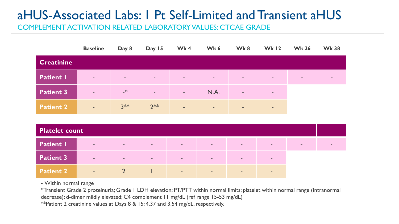# aHUS-Associated Labs: 1 Pt Self-Limited and Transient aHUS

COMPLEMENT ACTIVATION RELATED LABORATORY VALUES: CTCAE GRADE

|                   | <b>Baseline</b>          | Day 8     | Day 15 | Wk4                      | Wk 6   | Wk8                      | <b>Wk 12</b>             | <b>Wk 26</b>   | <b>Wk 38</b> |
|-------------------|--------------------------|-----------|--------|--------------------------|--------|--------------------------|--------------------------|----------------|--------------|
| <b>Creatinine</b> |                          |           |        |                          |        |                          |                          |                |              |
| <b>Patient I</b>  | $\sim$                   | $\sim$    | $\sim$ | $\sim$                   | $\sim$ | $\overline{\phantom{a}}$ | $\sim$                   | $\blacksquare$ |              |
| <b>Patient 3</b>  | $\sim$                   | $\cdot^*$ | $\sim$ | $\overline{\phantom{a}}$ | N.A.   | $\sim$                   | $\sim$                   |                |              |
| <b>Patient 2</b>  | $\overline{\phantom{a}}$ | $3**$     | $2**$  | $\overline{\phantom{a}}$ | $\sim$ | $\sim$                   | $\overline{\phantom{a}}$ |                |              |

| <b>Platelet count</b> |        |               |        |        |                          |        |        |  |
|-----------------------|--------|---------------|--------|--------|--------------------------|--------|--------|--|
| <b>Patient I</b>      | $\sim$ | $\sim$        | $\sim$ | $\sim$ | $\overline{\phantom{a}}$ | $\sim$ | $\sim$ |  |
| <b>Patient 3</b>      | $\sim$ | $\sim$        | $\sim$ | $\sim$ | <b>COL</b>               | $\sim$ | $\sim$ |  |
| <b>Patient 2</b>      | ve 1   | $\mathcal{L}$ |        | $\sim$ | $\sim$                   | $\sim$ | $\sim$ |  |

**-** Within normal range

\*Transient Grade 2 proteinuria; Grade 1 LDH elevation; PT/PTT within normal limits; platelet within normal range (intranormal decrease); d-dimer mildly elevated; C4 complement 11 mg/dL (ref range 15-53 mg/dL)

\*\*Patient 2 creatinine values at Days 8 & 15: 4.37 and 3.54 mg/dL, respectively.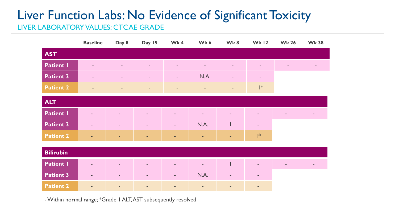# Liver Function Labs: No Evidence of Significant Toxicity

LIVER LABORATORY VALUES: CTCAE GRADE

|                  | <b>Baseline</b>          | Day 8                    | Day 15                   | Wk4                      | Wk 6                     | Wk8            | <b>Wk 12</b>             | <b>Wk 26</b>   | <b>Wk 38</b>   |
|------------------|--------------------------|--------------------------|--------------------------|--------------------------|--------------------------|----------------|--------------------------|----------------|----------------|
| <b>AST</b>       |                          |                          |                          |                          |                          |                |                          |                |                |
| <b>Patient I</b> | $\overline{\phantom{a}}$ | $\sim$                   | $\overline{\phantom{a}}$ | $\sim$                   | $\sim$                   | $\sim$         | $\overline{\phantom{a}}$ | $\sim$         | $\blacksquare$ |
| <b>Patient 3</b> | $\overline{\phantom{a}}$ | $\overline{\phantom{a}}$ | $\overline{\phantom{a}}$ | $\bar{\phantom{a}}$      | N.A.                     | $\sim$         | $\blacksquare$           |                |                |
| <b>Patient 2</b> | $\overline{\phantom{a}}$ | $\overline{\phantom{a}}$ | $\blacksquare$           | $\sim$                   | $\blacksquare$           | $\sim$         | $\mathsf{I}^*$           |                |                |
| <b>ALT</b>       |                          |                          |                          |                          |                          |                |                          |                |                |
| <b>Patient I</b> | $\sim$                   | $\sim$                   | $\sim$                   | $\overline{\phantom{a}}$ | $\sim$                   | $\blacksquare$ | $\overline{\phantom{a}}$ | $\blacksquare$ | $\sim$         |
| <b>Patient 3</b> | $\sim$                   | $\overline{\phantom{a}}$ | $\overline{\phantom{a}}$ | $\overline{\phantom{a}}$ | N.A.                     | I              | $\blacksquare$           |                |                |
| <b>Patient 2</b> | ÷                        | $\sim$                   | ٠                        | ÷                        | ÷.                       | ÷              | $\mathsf{I}^*$           |                |                |
| <b>Bilirubin</b> |                          |                          |                          |                          |                          |                |                          |                |                |
| <b>Patient I</b> | $\overline{\phantom{a}}$ | $\overline{\phantom{a}}$ | $\sim$                   | $\overline{\phantom{a}}$ | $\overline{\phantom{a}}$ |                | $\blacksquare$           | $\blacksquare$ | $\sim$         |
| <b>Patient 3</b> | $\sim$                   | $\sim$                   | $\blacksquare$           | $\overline{\phantom{a}}$ | N.A.                     | $\sim$         | $\sim$                   |                |                |
| <b>Patient 2</b> | $\sim$                   | $\blacksquare$           | $\overline{\phantom{a}}$ | $\blacksquare$           | $\sim$                   | $\blacksquare$ | $\blacksquare$           |                |                |

-Within normal range; \*Grade 1 ALT, AST subsequently resolved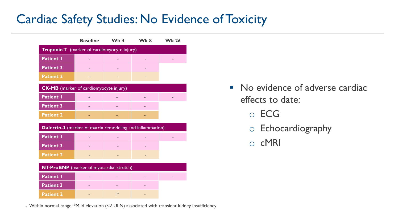# Cardiac Safety Studies: No Evidence of Toxicity

|                                                           | <b>Baseline</b> | Wk4            | Wk 8 | <b>Wk 26</b> |  |  |  |  |  |
|-----------------------------------------------------------|-----------------|----------------|------|--------------|--|--|--|--|--|
| <b>Troponin T</b> (marker of cardiomyocyte injury)        |                 |                |      |              |  |  |  |  |  |
| <b>Patient I</b>                                          |                 |                |      |              |  |  |  |  |  |
| <b>Patient 3</b>                                          |                 |                |      |              |  |  |  |  |  |
| <b>Patient 2</b>                                          |                 |                |      |              |  |  |  |  |  |
| <b>CK-MB</b> (marker of cardiomyocyte injury)             |                 |                |      |              |  |  |  |  |  |
| <b>Patient I</b>                                          |                 |                |      |              |  |  |  |  |  |
| <b>Patient 3</b>                                          |                 |                |      |              |  |  |  |  |  |
| <b>Patient 2</b>                                          |                 |                |      |              |  |  |  |  |  |
| Galectin-3 (marker of matrix remodeling and inflammation) |                 |                |      |              |  |  |  |  |  |
| <b>Patient I</b>                                          |                 |                |      |              |  |  |  |  |  |
| <b>Patient 3</b>                                          |                 |                |      |              |  |  |  |  |  |
| <b>Patient 2</b>                                          |                 |                |      |              |  |  |  |  |  |
| <b>NT-ProBNP</b> (marker of myocardial stretch)           |                 |                |      |              |  |  |  |  |  |
| <b>Patient I</b>                                          |                 |                |      |              |  |  |  |  |  |
| <b>Patient 3</b>                                          |                 |                |      |              |  |  |  |  |  |
| <b>Patient 2</b>                                          |                 | $\mathsf{I}^*$ |      |              |  |  |  |  |  |

- Within normal range; \*Mild elevation (<2 ULN) associated with transient kidney insufficiency

- No evidence of adverse cardiac effects to date:
	- o ECG
	- o Echocardiography
	- o cMRI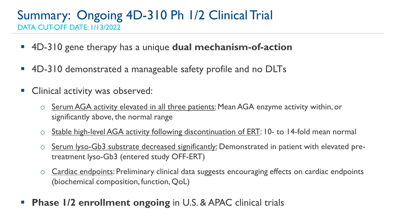### Summary: Ongoing 4D-310 Ph 1/2 Clinical Trial DATA CUT-OFF DATE: 1/13/2022

- 4D-310 gene therapy has a unique **dual mechanism-of-action**
- 4D-310 demonstrated a manageable safety profile and no DLTs
- Clinical activity was observed:
	- o Serum AGA activity elevated in all three patients: Mean AGA enzyme activity within, or significantly above, the normal range
	- o Stable high-level AGA activity following discontinuation of ERT: 10- to 14-fold mean normal
	- o Serum lyso-Gb3 substrate decreased significantly: Demonstrated in patient with elevated pretreatment lyso-Gb3 (entered study OFF-ERT)
	- o Cardiac endpoints: Preliminary clinical data suggests encouraging effects on cardiac endpoints (biochemical composition, function, QoL)
- **Phase 1/2 enrollment ongoing** in U.S. & APAC clinical trials